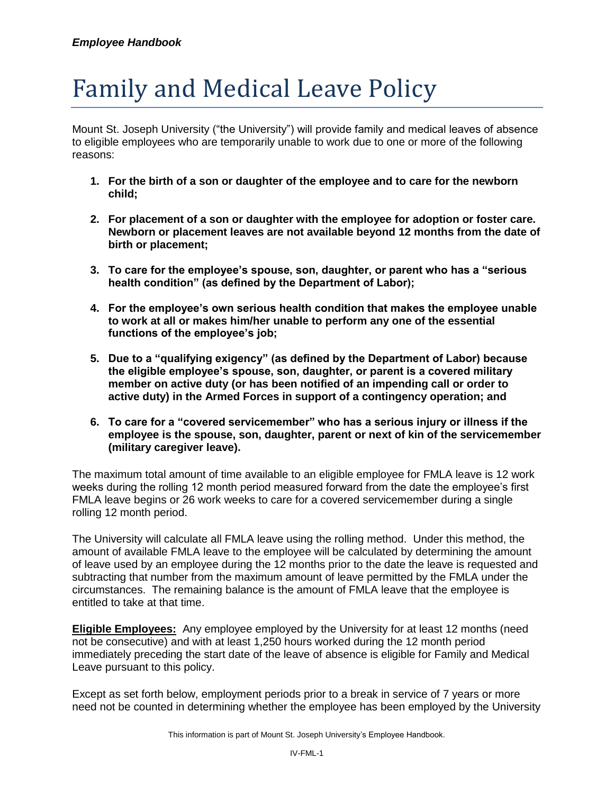# Family and Medical Leave Policy

Mount St. Joseph University ("the University") will provide family and medical leaves of absence to eligible employees who are temporarily unable to work due to one or more of the following reasons:

- **1. For the birth of a son or daughter of the employee and to care for the newborn child;**
- **2. For placement of a son or daughter with the employee for adoption or foster care. Newborn or placement leaves are not available beyond 12 months from the date of birth or placement;**
- **3. To care for the employee's spouse, son, daughter, or parent who has a "serious health condition" (as defined by the Department of Labor);**
- **4. For the employee's own serious health condition that makes the employee unable to work at all or makes him/her unable to perform any one of the essential functions of the employee's job;**
- **5. Due to a "qualifying exigency" (as defined by the Department of Labor) because the eligible employee's spouse, son, daughter, or parent is a covered military member on active duty (or has been notified of an impending call or order to active duty) in the Armed Forces in support of a contingency operation; and**
- **6. To care for a "covered servicemember" who has a serious injury or illness if the employee is the spouse, son, daughter, parent or next of kin of the servicemember (military caregiver leave).**

The maximum total amount of time available to an eligible employee for FMLA leave is 12 work weeks during the rolling 12 month period measured forward from the date the employee's first FMLA leave begins or 26 work weeks to care for a covered servicemember during a single rolling 12 month period.

The University will calculate all FMLA leave using the rolling method. Under this method, the amount of available FMLA leave to the employee will be calculated by determining the amount of leave used by an employee during the 12 months prior to the date the leave is requested and subtracting that number from the maximum amount of leave permitted by the FMLA under the circumstances. The remaining balance is the amount of FMLA leave that the employee is entitled to take at that time.

**Eligible Employees:** Any employee employed by the University for at least 12 months (need not be consecutive) and with at least 1,250 hours worked during the 12 month period immediately preceding the start date of the leave of absence is eligible for Family and Medical Leave pursuant to this policy.

Except as set forth below, employment periods prior to a break in service of 7 years or more need not be counted in determining whether the employee has been employed by the University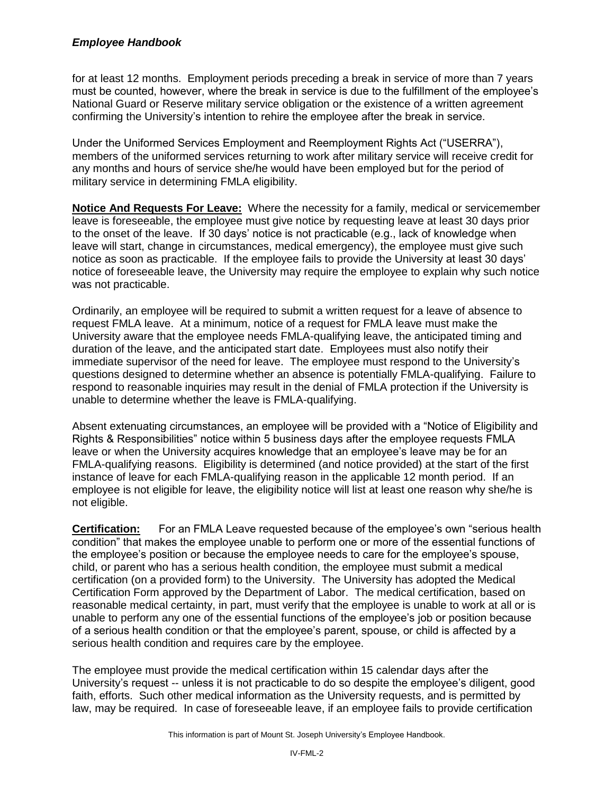for at least 12 months. Employment periods preceding a break in service of more than 7 years must be counted, however, where the break in service is due to the fulfillment of the employee's National Guard or Reserve military service obligation or the existence of a written agreement confirming the University's intention to rehire the employee after the break in service.

Under the Uniformed Services Employment and Reemployment Rights Act ("USERRA"), members of the uniformed services returning to work after military service will receive credit for any months and hours of service she/he would have been employed but for the period of military service in determining FMLA eligibility.

**Notice And Requests For Leave:** Where the necessity for a family, medical or servicemember leave is foreseeable, the employee must give notice by requesting leave at least 30 days prior to the onset of the leave. If 30 days' notice is not practicable (e.g., lack of knowledge when leave will start, change in circumstances, medical emergency), the employee must give such notice as soon as practicable. If the employee fails to provide the University at least 30 days' notice of foreseeable leave, the University may require the employee to explain why such notice was not practicable.

Ordinarily, an employee will be required to submit a written request for a leave of absence to request FMLA leave. At a minimum, notice of a request for FMLA leave must make the University aware that the employee needs FMLA-qualifying leave, the anticipated timing and duration of the leave, and the anticipated start date. Employees must also notify their immediate supervisor of the need for leave. The employee must respond to the University's questions designed to determine whether an absence is potentially FMLA-qualifying. Failure to respond to reasonable inquiries may result in the denial of FMLA protection if the University is unable to determine whether the leave is FMLA-qualifying.

Absent extenuating circumstances, an employee will be provided with a "Notice of Eligibility and Rights & Responsibilities" notice within 5 business days after the employee requests FMLA leave or when the University acquires knowledge that an employee's leave may be for an FMLA-qualifying reasons. Eligibility is determined (and notice provided) at the start of the first instance of leave for each FMLA-qualifying reason in the applicable 12 month period. If an employee is not eligible for leave, the eligibility notice will list at least one reason why she/he is not eligible.

**Certification:** For an FMLA Leave requested because of the employee's own "serious health condition" that makes the employee unable to perform one or more of the essential functions of the employee's position or because the employee needs to care for the employee's spouse, child, or parent who has a serious health condition, the employee must submit a medical certification (on a provided form) to the University. The University has adopted the Medical Certification Form approved by the Department of Labor. The medical certification, based on reasonable medical certainty, in part, must verify that the employee is unable to work at all or is unable to perform any one of the essential functions of the employee's job or position because of a serious health condition or that the employee's parent, spouse, or child is affected by a serious health condition and requires care by the employee.

The employee must provide the medical certification within 15 calendar days after the University's request -- unless it is not practicable to do so despite the employee's diligent, good faith, efforts. Such other medical information as the University requests, and is permitted by law, may be required. In case of foreseeable leave, if an employee fails to provide certification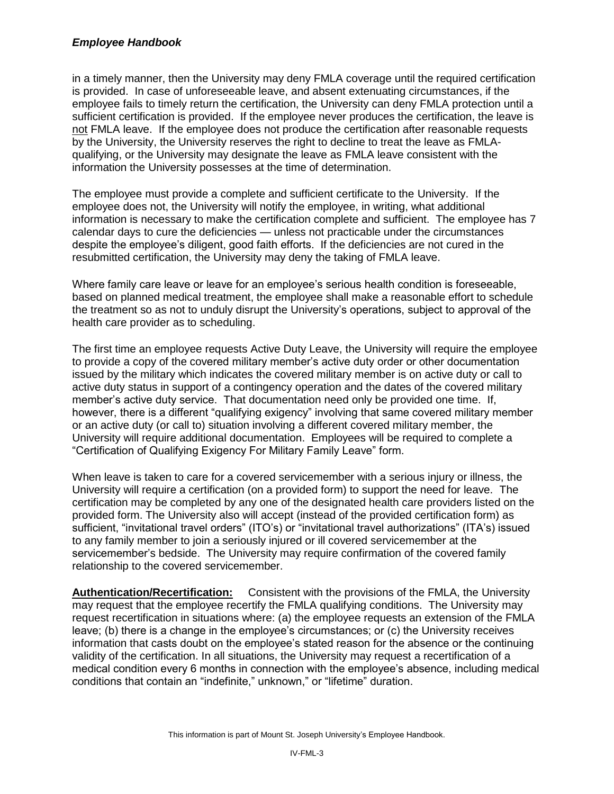in a timely manner, then the University may deny FMLA coverage until the required certification is provided. In case of unforeseeable leave, and absent extenuating circumstances, if the employee fails to timely return the certification, the University can deny FMLA protection until a sufficient certification is provided. If the employee never produces the certification, the leave is not FMLA leave. If the employee does not produce the certification after reasonable requests by the University, the University reserves the right to decline to treat the leave as FMLAqualifying, or the University may designate the leave as FMLA leave consistent with the information the University possesses at the time of determination.

The employee must provide a complete and sufficient certificate to the University. If the employee does not, the University will notify the employee, in writing, what additional information is necessary to make the certification complete and sufficient. The employee has 7 calendar days to cure the deficiencies — unless not practicable under the circumstances despite the employee's diligent, good faith efforts. If the deficiencies are not cured in the resubmitted certification, the University may deny the taking of FMLA leave.

Where family care leave or leave for an employee's serious health condition is foreseeable, based on planned medical treatment, the employee shall make a reasonable effort to schedule the treatment so as not to unduly disrupt the University's operations, subject to approval of the health care provider as to scheduling.

The first time an employee requests Active Duty Leave, the University will require the employee to provide a copy of the covered military member's active duty order or other documentation issued by the military which indicates the covered military member is on active duty or call to active duty status in support of a contingency operation and the dates of the covered military member's active duty service. That documentation need only be provided one time. If, however, there is a different "qualifying exigency" involving that same covered military member or an active duty (or call to) situation involving a different covered military member, the University will require additional documentation. Employees will be required to complete a "Certification of Qualifying Exigency For Military Family Leave" form.

When leave is taken to care for a covered servicemember with a serious injury or illness, the University will require a certification (on a provided form) to support the need for leave. The certification may be completed by any one of the designated health care providers listed on the provided form. The University also will accept (instead of the provided certification form) as sufficient, "invitational travel orders" (ITO's) or "invitational travel authorizations" (ITA's) issued to any family member to join a seriously injured or ill covered servicemember at the servicemember's bedside. The University may require confirmation of the covered family relationship to the covered servicemember.

**Authentication/Recertification:** Consistent with the provisions of the FMLA, the University may request that the employee recertify the FMLA qualifying conditions. The University may request recertification in situations where: (a) the employee requests an extension of the FMLA leave; (b) there is a change in the employee's circumstances; or (c) the University receives information that casts doubt on the employee's stated reason for the absence or the continuing validity of the certification. In all situations, the University may request a recertification of a medical condition every 6 months in connection with the employee's absence, including medical conditions that contain an "indefinite," unknown," or "lifetime" duration.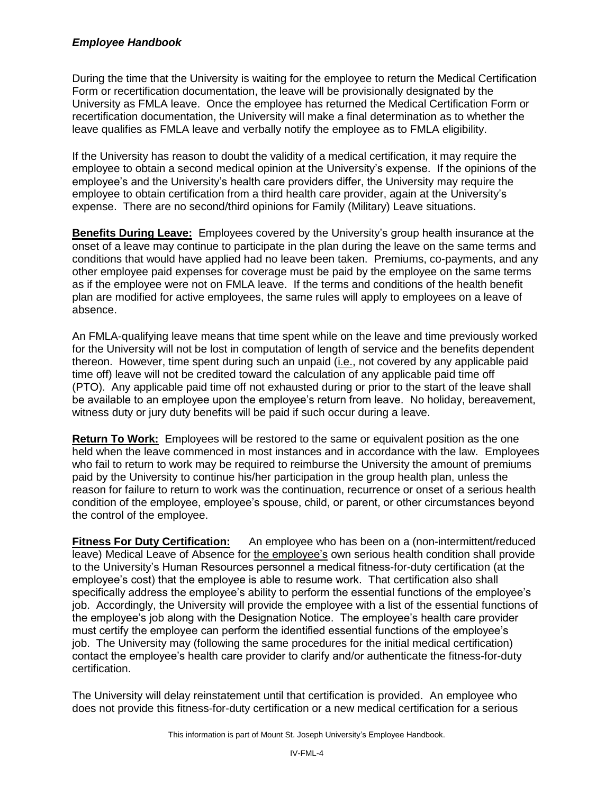During the time that the University is waiting for the employee to return the Medical Certification Form or recertification documentation, the leave will be provisionally designated by the University as FMLA leave. Once the employee has returned the Medical Certification Form or recertification documentation, the University will make a final determination as to whether the leave qualifies as FMLA leave and verbally notify the employee as to FMLA eligibility.

If the University has reason to doubt the validity of a medical certification, it may require the employee to obtain a second medical opinion at the University's expense. If the opinions of the employee's and the University's health care providers differ, the University may require the employee to obtain certification from a third health care provider, again at the University's expense. There are no second/third opinions for Family (Military) Leave situations.

**Benefits During Leave:** Employees covered by the University's group health insurance at the onset of a leave may continue to participate in the plan during the leave on the same terms and conditions that would have applied had no leave been taken. Premiums, co-payments, and any other employee paid expenses for coverage must be paid by the employee on the same terms as if the employee were not on FMLA leave. If the terms and conditions of the health benefit plan are modified for active employees, the same rules will apply to employees on a leave of absence.

An FMLA-qualifying leave means that time spent while on the leave and time previously worked for the University will not be lost in computation of length of service and the benefits dependent thereon. However, time spent during such an unpaid (i.e., not covered by any applicable paid time off) leave will not be credited toward the calculation of any applicable paid time off (PTO). Any applicable paid time off not exhausted during or prior to the start of the leave shall be available to an employee upon the employee's return from leave. No holiday, bereavement, witness duty or jury duty benefits will be paid if such occur during a leave.

**Return To Work:** Employees will be restored to the same or equivalent position as the one held when the leave commenced in most instances and in accordance with the law. Employees who fail to return to work may be required to reimburse the University the amount of premiums paid by the University to continue his/her participation in the group health plan, unless the reason for failure to return to work was the continuation, recurrence or onset of a serious health condition of the employee, employee's spouse, child, or parent, or other circumstances beyond the control of the employee.

**Fitness For Duty Certification:** An employee who has been on a (non-intermittent/reduced leave) Medical Leave of Absence for the employee's own serious health condition shall provide to the University's Human Resources personnel a medical fitness-for-duty certification (at the employee's cost) that the employee is able to resume work. That certification also shall specifically address the employee's ability to perform the essential functions of the employee's job. Accordingly, the University will provide the employee with a list of the essential functions of the employee's job along with the Designation Notice. The employee's health care provider must certify the employee can perform the identified essential functions of the employee's job. The University may (following the same procedures for the initial medical certification) contact the employee's health care provider to clarify and/or authenticate the fitness-for-duty certification.

The University will delay reinstatement until that certification is provided. An employee who does not provide this fitness-for-duty certification or a new medical certification for a serious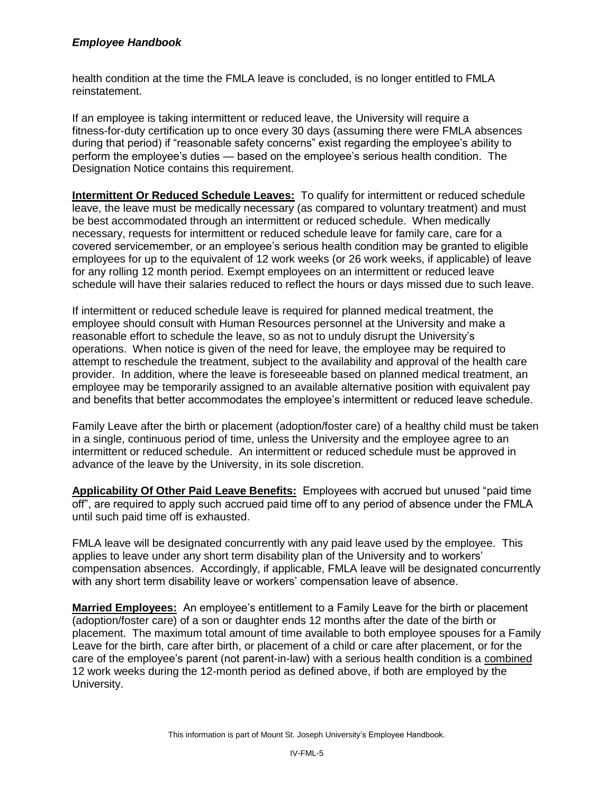health condition at the time the FMLA leave is concluded, is no longer entitled to FMLA reinstatement.

If an employee is taking intermittent or reduced leave, the University will require a fitness-for-duty certification up to once every 30 days (assuming there were FMLA absences during that period) if "reasonable safety concerns" exist regarding the employee's ability to perform the employee's duties — based on the employee's serious health condition. The Designation Notice contains this requirement.

**Intermittent Or Reduced Schedule Leaves:** To qualify for intermittent or reduced schedule leave, the leave must be medically necessary (as compared to voluntary treatment) and must be best accommodated through an intermittent or reduced schedule. When medically necessary, requests for intermittent or reduced schedule leave for family care, care for a covered servicemember, or an employee's serious health condition may be granted to eligible employees for up to the equivalent of 12 work weeks (or 26 work weeks, if applicable) of leave for any rolling 12 month period. Exempt employees on an intermittent or reduced leave schedule will have their salaries reduced to reflect the hours or days missed due to such leave.

If intermittent or reduced schedule leave is required for planned medical treatment, the employee should consult with Human Resources personnel at the University and make a reasonable effort to schedule the leave, so as not to unduly disrupt the University's operations. When notice is given of the need for leave, the employee may be required to attempt to reschedule the treatment, subject to the availability and approval of the health care provider. In addition, where the leave is foreseeable based on planned medical treatment, an employee may be temporarily assigned to an available alternative position with equivalent pay and benefits that better accommodates the employee's intermittent or reduced leave schedule.

Family Leave after the birth or placement (adoption/foster care) of a healthy child must be taken in a single, continuous period of time, unless the University and the employee agree to an intermittent or reduced schedule. An intermittent or reduced schedule must be approved in advance of the leave by the University, in its sole discretion.

**Applicability Of Other Paid Leave Benefits:** Employees with accrued but unused "paid time off", are required to apply such accrued paid time off to any period of absence under the FMLA until such paid time off is exhausted.

FMLA leave will be designated concurrently with any paid leave used by the employee. This applies to leave under any short term disability plan of the University and to workers' compensation absences. Accordingly, if applicable, FMLA leave will be designated concurrently with any short term disability leave or workers' compensation leave of absence.

**Married Employees:** An employee's entitlement to a Family Leave for the birth or placement (adoption/foster care) of a son or daughter ends 12 months after the date of the birth or placement. The maximum total amount of time available to both employee spouses for a Family Leave for the birth, care after birth, or placement of a child or care after placement, or for the care of the employee's parent (not parent-in-law) with a serious health condition is a combined 12 work weeks during the 12-month period as defined above, if both are employed by the University.